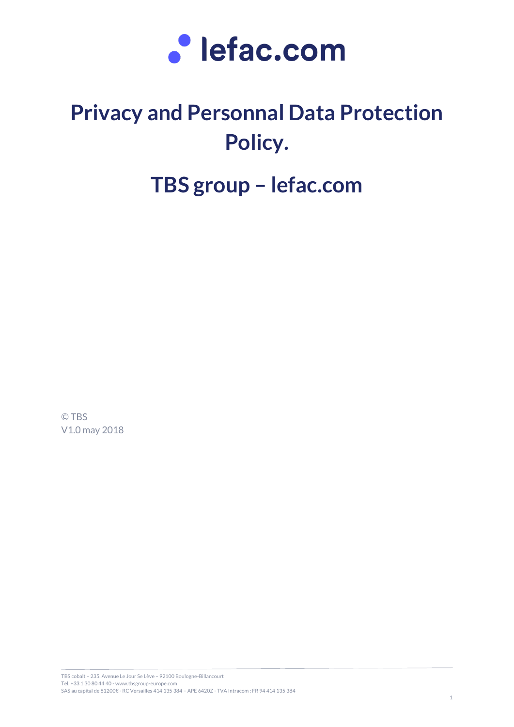

# **Privacy and Personnal Data Protection Policy.**

# **TBS group – lefac.com**

© TBS V1.0 may 2018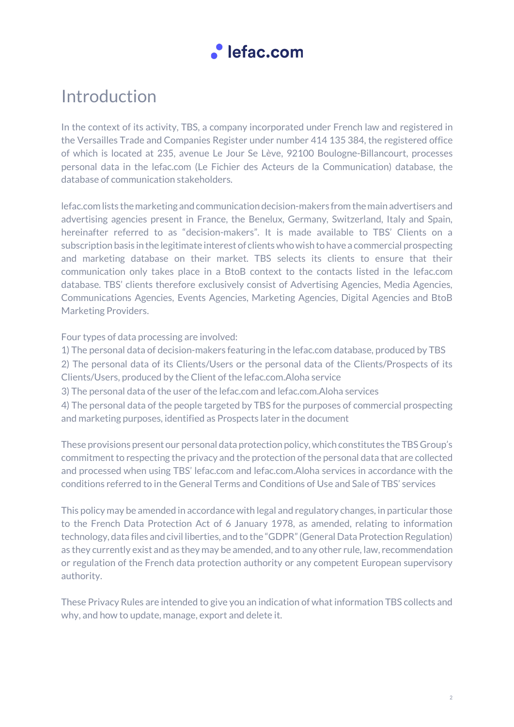

## Introduction

In the context of its activity, TBS, a company incorporated under French law and registered in the Versailles Trade and Companies Register under number 414 135 384, the registered office of which is located at 235, avenue Le Jour Se Lève, 92100 Boulogne-Billancourt, processes personal data in the lefac.com (Le Fichier des Acteurs de la Communication) database, the database of communication stakeholders.

lefac.com lists the marketing and communication decision-makers from the main advertisers and advertising agencies present in France, the Benelux, Germany, Switzerland, Italy and Spain, hereinafter referred to as "decision-makers". It is made available to TBS' Clients on a subscription basis in the legitimate interest of clients who wish to have a commercial prospecting and marketing database on their market. TBS selects its clients to ensure that their communication only takes place in a BtoB context to the contacts listed in the lefac.com database. TBS' clients therefore exclusively consist of Advertising Agencies, Media Agencies, Communications Agencies, Events Agencies, Marketing Agencies, Digital Agencies and BtoB Marketing Providers.

Four types of data processing are involved:

1) The personal data of decision-makers featuring in the lefac.com database, produced by TBS

2) The personal data of its Clients/Users or the personal data of the Clients/Prospects of its Clients/Users, produced by the Client of the lefac.com.Aloha service

3) The personal data of the user of the lefac.com and lefac.com.Aloha services

4) The personal data of the people targeted by TBS for the purposes of commercial prospecting and marketing purposes, identified as Prospects later in the document

These provisions present our personal data protection policy, which constitutes the TBS Group's commitment to respecting the privacy and the protection of the personal data that are collected and processed when using TBS' lefac.com and lefac.com.Aloha services in accordance with the conditions referred to in the General Terms and Conditions of Use and Sale of TBS' services

This policy may be amended in accordance with legal and regulatory changes, in particular those to the French Data Protection Act of 6 January 1978, as amended, relating to information technology, data files and civil liberties, and to the "GDPR" (General Data Protection Regulation) as they currently exist and as they may be amended, and to any other rule, law, recommendation or regulation of the French data protection authority or any competent European supervisory authority.

These Privacy Rules are intended to give you an indication of what information TBS collects and why, and how to update, manage, export and delete it.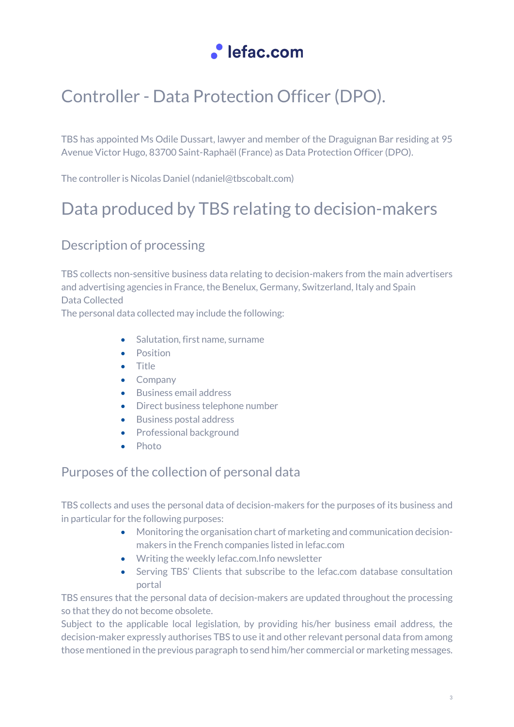

## Controller - Data Protection Officer (DPO).

TBS has appointed Ms Odile Dussart, lawyer and member of the Draguignan Bar residing at 95 Avenue Victor Hugo, 83700 Saint-Raphaël (France) as Data Protection Officer (DPO).

The controller is Nicolas Daniel (ndaniel@tbscobalt.com)

## Data produced by TBS relating to decision-makers

### Description of processing

TBS collects non-sensitive business data relating to decision-makers from the main advertisers and advertising agencies in France, the Benelux, Germany, Switzerland, Italy and Spain Data Collected

The personal data collected may include the following:

- Salutation, first name, surname
- Position
- Title
- Company
- Business email address
- Direct business telephone number
- Business postal address
- Professional background
- Photo

### Purposes of the collection of personal data

TBS collects and uses the personal data of decision-makers for the purposes of its business and in particular for the following purposes:

- Monitoring the organisation chart of marketing and communication decisionmakers in the French companies listed in lefac.com
- Writing the weekly lefac.com.Info newsletter
- Serving TBS' Clients that subscribe to the lefac.com database consultation portal

TBS ensures that the personal data of decision-makers are updated throughout the processing so that they do not become obsolete.

Subject to the applicable local legislation, by providing his/her business email address, the decision-maker expressly authorises TBS to use it and other relevant personal data from among those mentioned in the previous paragraph to send him/her commercial or marketing messages.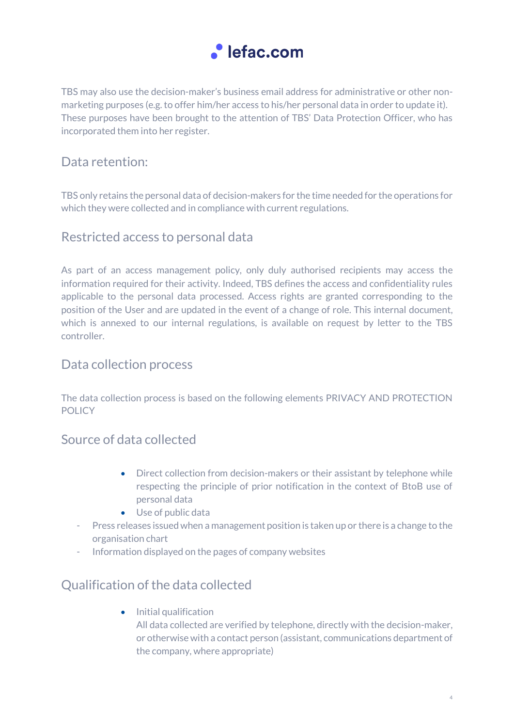

TBS may also use the decision-maker's business email address for administrative or other nonmarketing purposes (e.g. to offer him/her access to his/her personal data in order to update it). These purposes have been brought to the attention of TBS' Data Protection Officer, who has incorporated them into her register.

### Data retention:

TBS only retains the personal data of decision-makers for the time needed for the operations for which they were collected and in compliance with current regulations.

### Restricted access to personal data

As part of an access management policy, only duly authorised recipients may access the information required for their activity. Indeed, TBS defines the access and confidentiality rules applicable to the personal data processed. Access rights are granted corresponding to the position of the User and are updated in the event of a change of role. This internal document, which is annexed to our internal regulations, is available on request by letter to the TBS controller.

### Data collection process

The data collection process is based on the following elements PRIVACY AND PROTECTION POLICY

### Source of data collected

- Direct collection from decision-makers or their assistant by telephone while respecting the principle of prior notification in the context of BtoB use of personal data
- Use of public data
- Press releases issued when a management position is taken up or there is a change to the organisation chart
- Information displayed on the pages of company websites

### Qualification of the data collected

• Initial qualification

All data collected are verified by telephone, directly with the decision-maker, or otherwise with a contact person (assistant, communications department of the company, where appropriate)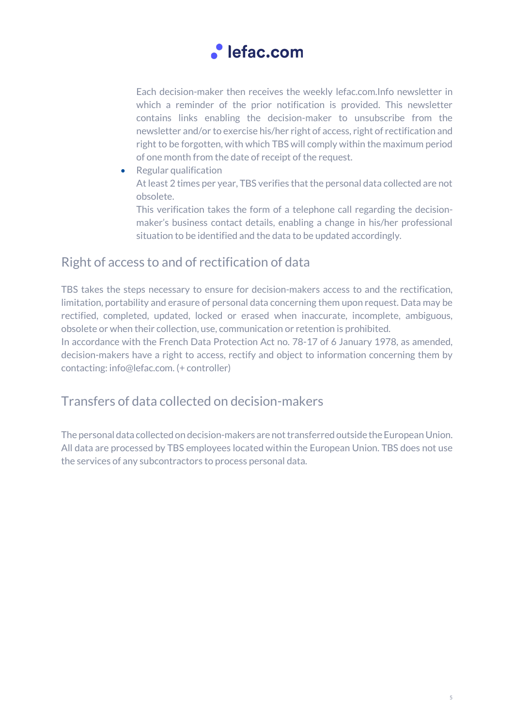

Each decision-maker then receives the weekly lefac.com.Info newsletter in which a reminder of the prior notification is provided. This newsletter contains links enabling the decision-maker to unsubscribe from the newsletter and/or to exercise his/her right of access, right of rectification and right to be forgotten, with which TBS will comply within the maximum period of one month from the date of receipt of the request.

- Regular qualification At least 2 times per year, TBS verifies that the personal data collected are not obsolete.
	- This verification takes the form of a telephone call regarding the decisionmaker's business contact details, enabling a change in his/her professional situation to be identified and the data to be updated accordingly.

### Right of access to and of rectification of data

TBS takes the steps necessary to ensure for decision-makers access to and the rectification, limitation, portability and erasure of personal data concerning them upon request. Data may be rectified, completed, updated, locked or erased when inaccurate, incomplete, ambiguous, obsolete or when their collection, use, communication or retention is prohibited.

In accordance with the French Data Protection Act no. 78-17 of 6 January 1978, as amended, decision-makers have a right to access, rectify and object to information concerning them by contacting: info@lefac.com. (+ controller)

### Transfers of data collected on decision-makers

The personal data collected on decision-makers are not transferred outside the European Union. All data are processed by TBS employees located within the European Union. TBS does not use the services of any subcontractors to process personal data.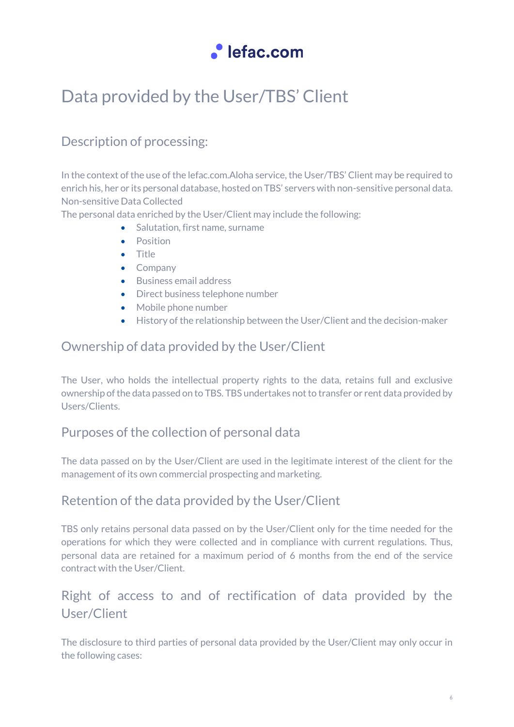

## Data provided by the User/TBS' Client

### Description of processing:

In the context of the use of the lefac.com.Aloha service, the User/TBS' Client may be required to enrich his, her or its personal database, hosted on TBS' servers with non-sensitive personal data. Non-sensitive Data Collected

The personal data enriched by the User/Client may include the following:

- Salutation, first name, surname
- Position
- Title
- Company
- Business email address
- Direct business telephone number
- Mobile phone number
- History of the relationship between the User/Client and the decision-maker

### Ownership of data provided by the User/Client

The User, who holds the intellectual property rights to the data, retains full and exclusive ownership of the data passed on to TBS. TBS undertakes not to transfer or rent data provided by Users/Clients.

### Purposes of the collection of personal data

The data passed on by the User/Client are used in the legitimate interest of the client for the management of its own commercial prospecting and marketing.

### Retention of the data provided by the User/Client

TBS only retains personal data passed on by the User/Client only for the time needed for the operations for which they were collected and in compliance with current regulations. Thus, personal data are retained for a maximum period of 6 months from the end of the service contract with the User/Client.

### Right of access to and of rectification of data provided by the User/Client

The disclosure to third parties of personal data provided by the User/Client may only occur in the following cases: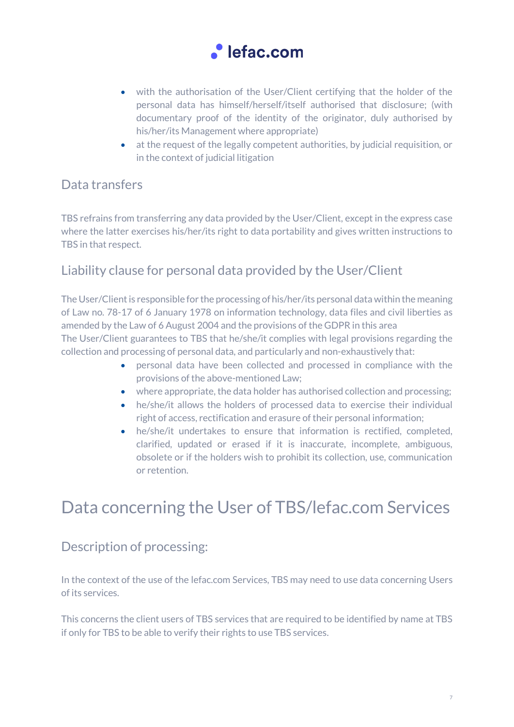

- with the authorisation of the User/Client certifying that the holder of the personal data has himself/herself/itself authorised that disclosure; (with documentary proof of the identity of the originator, duly authorised by his/her/its Management where appropriate)
- at the request of the legally competent authorities, by judicial requisition, or in the context of judicial litigation

### Data transfers

TBS refrains from transferring any data provided by the User/Client, except in the express case where the latter exercises his/her/its right to data portability and gives written instructions to TBS in that respect.

### Liability clause for personal data provided by the User/Client

The User/Client is responsible for the processing of his/her/its personal data within the meaning of Law no. 78-17 of 6 January 1978 on information technology, data files and civil liberties as amended by the Law of 6 August 2004 and the provisions of the GDPR in this area The User/Client guarantees to TBS that he/she/it complies with legal provisions regarding the collection and processing of personal data, and particularly and non-exhaustively that:

- personal data have been collected and processed in compliance with the provisions of the above-mentioned Law;
- where appropriate, the data holder has authorised collection and processing;
- he/she/it allows the holders of processed data to exercise their individual right of access, rectification and erasure of their personal information;
- he/she/it undertakes to ensure that information is rectified, completed, clarified, updated or erased if it is inaccurate, incomplete, ambiguous, obsolete or if the holders wish to prohibit its collection, use, communication or retention.

## Data concerning the User of TBS/lefac.com Services

### Description of processing:

In the context of the use of the lefac.com Services, TBS may need to use data concerning Users of its services.

This concerns the client users of TBS services that are required to be identified by name at TBS if only for TBS to be able to verify their rights to use TBS services.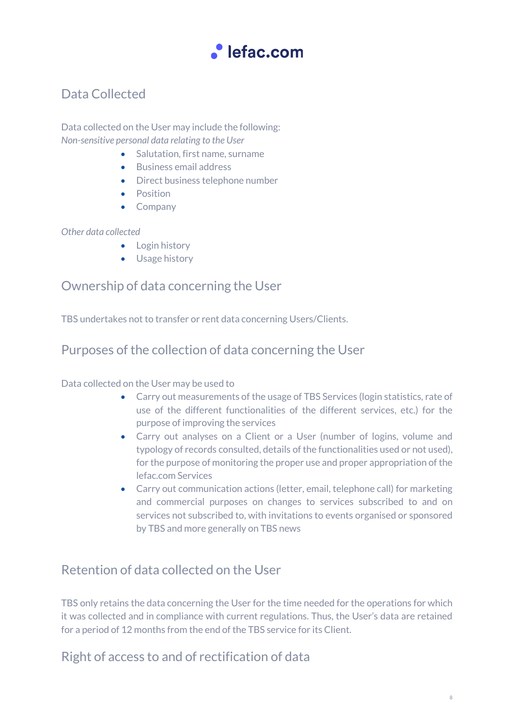

### Data Collected

Data collected on the User may include the following: *Non-sensitive personal data relating to the User*

- Salutation, first name, surname
- Business email address
- Direct business telephone number
- Position
- Company

#### *Other data collected*

- Login history
- Usage history

### Ownership of data concerning the User

TBS undertakes not to transfer or rent data concerning Users/Clients.

### Purposes of the collection of data concerning the User

Data collected on the User may be used to

- Carry out measurements of the usage of TBS Services (login statistics, rate of use of the different functionalities of the different services, etc.) for the purpose of improving the services
- Carry out analyses on a Client or a User (number of logins, volume and typology of records consulted, details of the functionalities used or not used), for the purpose of monitoring the proper use and proper appropriation of the lefac.com Services
- Carry out communication actions (letter, email, telephone call) for marketing and commercial purposes on changes to services subscribed to and on services not subscribed to, with invitations to events organised or sponsored by TBS and more generally on TBS news

### Retention of data collected on the User

TBS only retains the data concerning the User for the time needed for the operations for which it was collected and in compliance with current regulations. Thus, the User's data are retained for a period of 12 months from the end of the TBS service for its Client.

Right of access to and of rectification of data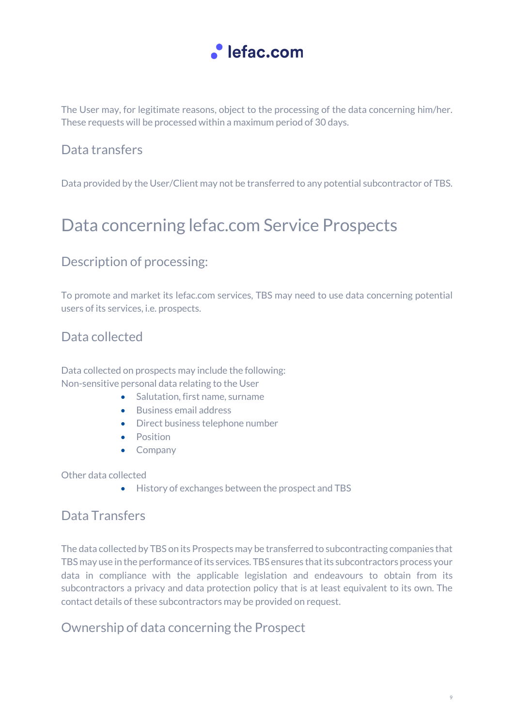

The User may, for legitimate reasons, object to the processing of the data concerning him/her. These requests will be processed within a maximum period of 30 days.

### Data transfers

Data provided by the User/Client may not be transferred to any potential subcontractor of TBS.

## Data concerning lefac.com Service Prospects

### Description of processing:

To promote and market its lefac.com services, TBS may need to use data concerning potential users of its services, i.e. prospects.

### Data collected

Data collected on prospects may include the following: Non-sensitive personal data relating to the User

- Salutation, first name, surname
- Business email address
- Direct business telephone number
- Position
- Company

Other data collected

• History of exchanges between the prospect and TBS

### Data Transfers

The data collected by TBS on its Prospects may be transferred to subcontracting companies that TBS may use in the performance of its services. TBS ensures that its subcontractors process your data in compliance with the applicable legislation and endeavours to obtain from its subcontractors a privacy and data protection policy that is at least equivalent to its own. The contact details of these subcontractors may be provided on request.

### Ownership of data concerning the Prospect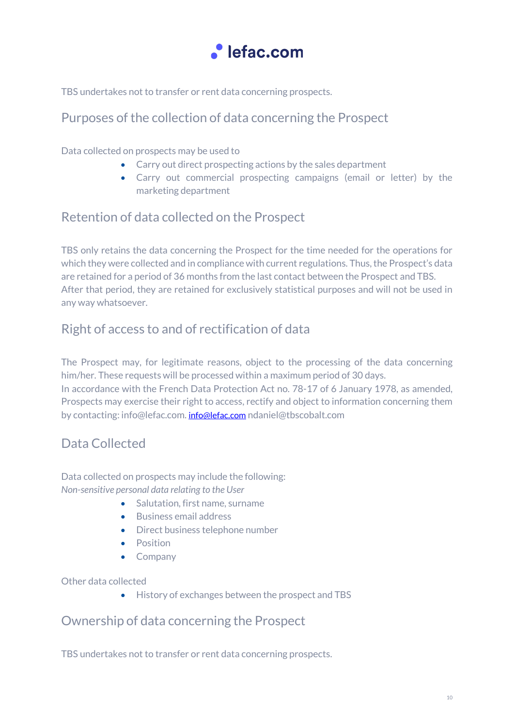

TBS undertakes not to transfer or rent data concerning prospects.

### Purposes of the collection of data concerning the Prospect

Data collected on prospects may be used to

- Carry out direct prospecting actions by the sales department
- Carry out commercial prospecting campaigns (email or letter) by the marketing department

### Retention of data collected on the Prospect

TBS only retains the data concerning the Prospect for the time needed for the operations for which they were collected and in compliance with current regulations. Thus, the Prospect's data are retained for a period of 36 months from the last contact between the Prospect and TBS. After that period, they are retained for exclusively statistical purposes and will not be used in any way whatsoever.

### Right of access to and of rectification of data

The Prospect may, for legitimate reasons, object to the processing of the data concerning him/her. These requests will be processed within a maximum period of 30 days. In accordance with the French Data Protection Act no. 78-17 of 6 January 1978, as amended, Prospects may exercise their right to access, rectify and object to information concerning them by contacting: info@lefac.com. [info@lefac.com](mailto:info@lefac.com) ndaniel@tbscobalt.com

### Data Collected

Data collected on prospects may include the following: *Non-sensitive personal data relating to the User*

- Salutation, first name, surname
- Business email address
- Direct business telephone number
- Position
- Company

Other data collected

• History of exchanges between the prospect and TBS

### Ownership of data concerning the Prospect

TBS undertakes not to transfer or rent data concerning prospects.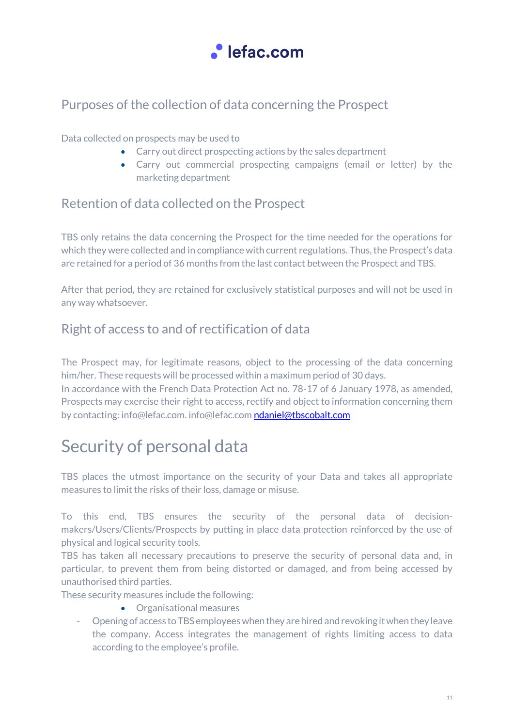

### Purposes of the collection of data concerning the Prospect

#### Data collected on prospects may be used to

- Carry out direct prospecting actions by the sales department
- Carry out commercial prospecting campaigns (email or letter) by the marketing department

### Retention of data collected on the Prospect

TBS only retains the data concerning the Prospect for the time needed for the operations for which they were collected and in compliance with current regulations. Thus, the Prospect's data are retained for a period of 36 months from the last contact between the Prospect and TBS.

After that period, they are retained for exclusively statistical purposes and will not be used in any way whatsoever.

### Right of access to and of rectification of data

The Prospect may, for legitimate reasons, object to the processing of the data concerning him/her. These requests will be processed within a maximum period of 30 days.

In accordance with the French Data Protection Act no. 78-17 of 6 January 1978, as amended, Prospects may exercise their right to access, rectify and object to information concerning them by contacting: info@lefac.com[. info@lefac.com](mailto:info@lefac.com) [ndaniel@tbscobalt.com](mailto:ndaniel@tbscobalt.com)

## Security of personal data

TBS places the utmost importance on the security of your Data and takes all appropriate measures to limit the risks of their loss, damage or misuse.

To this end, TBS ensures the security of the personal data of decisionmakers/Users/Clients/Prospects by putting in place data protection reinforced by the use of physical and logical security tools.

TBS has taken all necessary precautions to preserve the security of personal data and, in particular, to prevent them from being distorted or damaged, and from being accessed by unauthorised third parties.

These security measures include the following:

- Organisational measures
- Opening of access to TBS employees when they are hired and revoking it when they leave the company. Access integrates the management of rights limiting access to data according to the employee's profile.